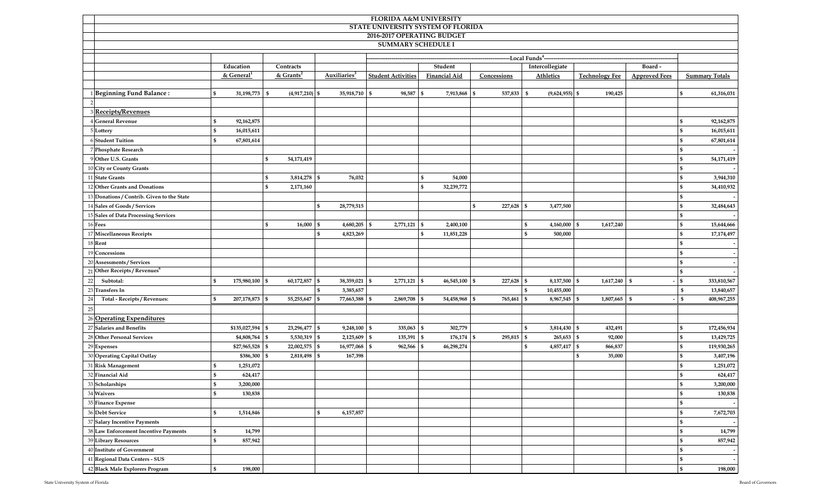| FLORIDA A&M UNIVERSITY                     |                                                                      |                    |                  |                  |                           |                |                      |                 |                              |                              |                       |                      |                       |              |             |
|--------------------------------------------|----------------------------------------------------------------------|--------------------|------------------|------------------|---------------------------|----------------|----------------------|-----------------|------------------------------|------------------------------|-----------------------|----------------------|-----------------------|--------------|-------------|
| STATE UNIVERSITY SYSTEM OF FLORIDA         |                                                                      |                    |                  |                  |                           |                |                      |                 |                              |                              |                       |                      |                       |              |             |
| 2016-2017 OPERATING BUDGET                 |                                                                      |                    |                  |                  |                           |                |                      |                 |                              |                              |                       |                      |                       |              |             |
| <b>SUMMARY SCHEDULE I</b>                  |                                                                      |                    |                  |                  |                           |                |                      |                 |                              |                              |                       |                      |                       |              |             |
| ---Local Funds <sup>4</sup> -              |                                                                      |                    |                  |                  |                           |                |                      |                 |                              |                              |                       |                      |                       |              |             |
|                                            | Education                                                            |                    | Contracts        |                  |                           |                |                      | Student         |                              | Intercollegiate              |                       |                      | Board -               |              |             |
|                                            | & $Grants^2$<br>$&$ General <sup>1</sup><br>Auxiliaries <sup>3</sup> |                    |                  |                  | <b>Student Activities</b> |                | <b>Financial Aid</b> | Concessions     | Athletics                    |                              | <b>Technology Fee</b> | <b>Approved Fees</b> | <b>Summary Totals</b> |              |             |
|                                            |                                                                      |                    |                  |                  |                           |                |                      |                 |                              |                              |                       |                      |                       |              |             |
| 1 Beginning Fund Balance:                  | <b>S</b>                                                             | 31,198,773 \$      |                  | $(4,917,210)$ \$ | 35,918,710 \$             | $98,587$ \$    |                      | 7,913,868 \$    | 537,833 \$                   | $(9,624,955)$ \$             |                       | 190,425              |                       | \$           | 61,316,031  |
| $\overline{2}$                             |                                                                      |                    |                  |                  |                           |                |                      |                 |                              |                              |                       |                      |                       |              |             |
| 3 Receipts/Revenues                        |                                                                      |                    |                  |                  |                           |                |                      |                 |                              |                              |                       |                      |                       |              |             |
| 4 General Revenue                          | - \$                                                                 | 92,162,875         |                  |                  |                           |                |                      |                 |                              |                              |                       |                      |                       | S            | 92,162,875  |
| 5 Lottery                                  | $\mathbb{S}$                                                         | 16,015,611         |                  |                  |                           |                |                      |                 |                              |                              |                       |                      |                       | \$           | 16,015,611  |
| 6 Student Tuition                          | <sup>\$</sup>                                                        | 67,801,614         |                  |                  |                           |                |                      |                 |                              |                              |                       |                      |                       | \$.          | 67,801,614  |
| 7 Phosphate Research                       |                                                                      |                    |                  |                  |                           |                |                      |                 |                              |                              |                       |                      |                       | \$.          |             |
| 9 Other U.S. Grants                        |                                                                      |                    | \$<br>54,171,419 |                  |                           |                |                      |                 |                              |                              |                       |                      |                       | \$.          | 54,171,419  |
| 10 City or County Grants                   |                                                                      |                    |                  |                  |                           |                |                      |                 |                              |                              |                       |                      |                       | \$           |             |
| 11 State Grants                            |                                                                      |                    | \$               | 3,814,278 \$     | 76,032                    |                | $\mathbf{s}$         | 54,000          |                              |                              |                       |                      |                       | \$           | 3,944,310   |
| 12 Other Grants and Donations              |                                                                      |                    | \$               | 2,171,160        |                           |                | $\mathbf{s}$         | 32,239,772      |                              |                              |                       |                      |                       | \$           | 34,410,932  |
| 13 Donations / Contrib. Given to the State |                                                                      |                    |                  |                  |                           |                |                      |                 |                              |                              |                       |                      |                       | S            |             |
| 14 Sales of Goods / Services               |                                                                      |                    |                  |                  | \$<br>28,779,515          |                |                      |                 | $\mathbb{S}$<br>$227,628$ \$ | 3,477,500                    |                       |                      |                       | \$           | 32,484,643  |
| 15 Sales of Data Processing Services       |                                                                      |                    |                  |                  |                           |                |                      |                 |                              |                              |                       |                      |                       | \$           |             |
| 16 Fees                                    |                                                                      |                    | $\mathbf{s}$     | $16,000$ \$      | 4,680,205 \$              | 2,771,121 \$   |                      | 2,400,100       |                              | \$<br>$4,160,000$ \$         |                       | 1,617,240            |                       | \$           | 15,644,666  |
| 17 Miscellaneous Receipts                  |                                                                      |                    |                  |                  | $\mathbb{S}$<br>4,823,269 |                | \$                   | 11,851,228      |                              | $\mathbb{S}$<br>500,000      |                       |                      |                       | \$           | 17,174,497  |
| 18 Rent                                    |                                                                      |                    |                  |                  |                           |                |                      |                 |                              |                              |                       |                      |                       | \$           |             |
| 19 Concessions                             |                                                                      |                    |                  |                  |                           |                |                      |                 |                              |                              |                       |                      |                       | \$           |             |
| 20 Assessments / Services                  |                                                                      |                    |                  |                  |                           |                |                      |                 |                              |                              |                       |                      |                       | \$.          |             |
| 21 Other Receipts / Revenues <sup>6</sup>  |                                                                      |                    |                  |                  |                           |                |                      |                 |                              |                              |                       |                      |                       | \$.          |             |
| 22<br>Subtotal:                            | $\mathbf{s}$                                                         | 175,980,100 \$     |                  | 60,172,857 \$    | 38,359,021 \$             | $2,771,121$ \$ |                      | $46,545,100$ \$ | $227,628$ \$                 | 8,137,500 \$                 |                       | $1,617,240$ \$       |                       | \$           | 333,810,567 |
| 23 Transfers In                            |                                                                      |                    |                  |                  | $\mathbb{S}$<br>3,385,657 |                |                      |                 |                              | S<br>10,455,000              |                       |                      |                       | S            | 13,840,657  |
| Total - Receipts / Revenues:<br>24         | $\mathbf{s}$                                                         | 207,178,873 \$     |                  | 55,255,647 \$    | 77,663,388 \$             | 2,869,708 \$   |                      | 54,458,968 \$   | 765,461 \$                   | 8,967,545 \$                 |                       | 1,807,665 \$         |                       | $\mathbb{S}$ | 408,967,255 |
| 25                                         |                                                                      |                    |                  |                  |                           |                |                      |                 |                              |                              |                       |                      |                       |              |             |
| 26 Operating Expenditures                  |                                                                      |                    |                  |                  |                           |                |                      |                 |                              |                              |                       |                      |                       |              |             |
| 27 Salaries and Benefits                   |                                                                      | $$135,027,594$ \\$ |                  | 23,296,477 \$    | $9,248,100$ \$            | $335,063$ \$   |                      | 302,779         |                              | 3,814,430 \$<br>\$           |                       | 432,491              |                       | \$           | 172,456,934 |
| 28 Other Personal Services                 |                                                                      | \$4,808,764 \$     |                  | $5,530,319$ \$   | $2,125,609$ \$            | 135,391 \$     |                      | 176,174         | 295,815<br>\$                | $265,653$ \$<br>$\mathbf{s}$ |                       | 92,000               |                       | \$           | 13,429,725  |
| 29 Expenses                                |                                                                      | $$27,965,528$ \$   |                  | 22,002,575 \$    | 16,977,068 \$             | 962,566        | <b>S</b>             | 46,298,274      |                              | \$<br>4,857,417 \$           |                       | 866,837              |                       | \$           | 119,930,265 |
| 30 Operating Capital Outlay                |                                                                      | \$386,300 \$       |                  | 2,818,498 \$     | 167,398                   |                |                      |                 |                              |                              | \$                    | 35,000               |                       | S            | 3,407,196   |
| 31 Risk Management                         | - \$                                                                 | 1,251,072          |                  |                  |                           |                |                      |                 |                              |                              |                       |                      |                       | \$.          | 1,251,072   |
| 32 Financial Aid                           | -95                                                                  | 624,417            |                  |                  |                           |                |                      |                 |                              |                              |                       |                      |                       | \$.          | 624,417     |
| 33 Scholarships                            | \$                                                                   | 3,200,000          |                  |                  |                           |                |                      |                 |                              |                              |                       |                      |                       | \$           | 3,200,000   |
| 34 Waivers                                 | $\mathbf{s}$                                                         | 130,838            |                  |                  |                           |                |                      |                 |                              |                              |                       |                      |                       | \$.          | 130,838     |
| 35 Finance Expense                         |                                                                      |                    |                  |                  |                           |                |                      |                 |                              |                              |                       |                      |                       | \$.          |             |
| 36 Debt Service                            | $\mathbf{s}$                                                         | 1,514,846          |                  |                  | \$<br>6,157,857           |                |                      |                 |                              |                              |                       |                      |                       | \$           | 7,672,703   |
| 37 Salary Incentive Payments               |                                                                      |                    |                  |                  |                           |                |                      |                 |                              |                              |                       |                      |                       | \$           |             |
| 38 Law Enforcement Incentive Payments      | S.                                                                   | 14,799             |                  |                  |                           |                |                      |                 |                              |                              |                       |                      |                       | \$           | 14,799      |
| 39 Library Resources                       | $\mathbf{s}$                                                         | 857,942            |                  |                  |                           |                |                      |                 |                              |                              |                       |                      |                       | \$.          | 857,942     |
| 40 Institute of Government                 |                                                                      |                    |                  |                  |                           |                |                      |                 |                              |                              |                       |                      |                       | \$.          |             |
| 41 Regional Data Centers - SUS             |                                                                      |                    |                  |                  |                           |                |                      |                 |                              |                              |                       |                      |                       | S            |             |
| 42 Black Male Explorers Program            | - \$                                                                 | 198,000            |                  |                  |                           |                |                      |                 |                              |                              |                       |                      |                       | \$           | 198,000     |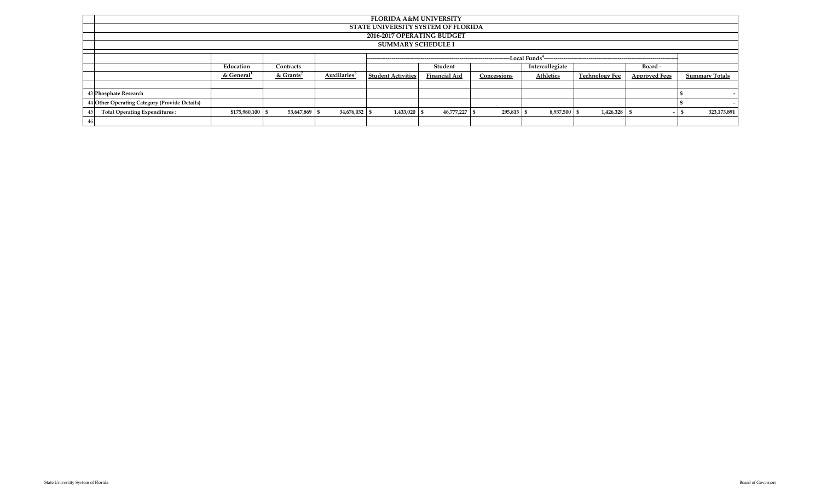| <b>FLORIDA A&amp;M UNIVERSITY</b>             |                                                                  |               |               |                           |               |             |                 |                       |                      |                       |  |  |  |  |  |
|-----------------------------------------------|------------------------------------------------------------------|---------------|---------------|---------------------------|---------------|-------------|-----------------|-----------------------|----------------------|-----------------------|--|--|--|--|--|
|                                               | STATE UNIVERSITY SYSTEM OF FLORIDA                               |               |               |                           |               |             |                 |                       |                      |                       |  |  |  |  |  |
| 2016-2017 OPERATING BUDGET                    |                                                                  |               |               |                           |               |             |                 |                       |                      |                       |  |  |  |  |  |
| <b>SUMMARY SCHEDULE I</b>                     |                                                                  |               |               |                           |               |             |                 |                       |                      |                       |  |  |  |  |  |
| -Local Funds <sup>4</sup> --                  |                                                                  |               |               |                           |               |             |                 |                       |                      |                       |  |  |  |  |  |
|                                               | Education                                                        | Contracts     |               |                           | Student       |             | Intercollegiate |                       | Board -              |                       |  |  |  |  |  |
|                                               | Auxiliaries <sup>3</sup><br>$&$ Grants <sup>2</sup><br>& General |               |               | <b>Student Activities</b> | Financial Aid | Concessions | Athletics       | <b>Technology Fee</b> | <b>Approved Fees</b> | <b>Summary Totals</b> |  |  |  |  |  |
|                                               |                                                                  |               |               |                           |               |             |                 |                       |                      |                       |  |  |  |  |  |
| 43 Phosphate Research                         |                                                                  |               |               |                           |               |             |                 |                       |                      |                       |  |  |  |  |  |
| 44 Other Operating Category (Provide Details) |                                                                  |               |               |                           |               |             |                 |                       |                      |                       |  |  |  |  |  |
| <b>Total Operating Expenditures:</b><br>45    | \$175,980,100 \$                                                 | 53,647,869 \$ | 34,676,032 \$ | $1,433,020$ \$            | 46,777,227 \$ | 295,815     | 8,937,500 \$    | 1,426,328             |                      | 323,173,891           |  |  |  |  |  |
| 46                                            |                                                                  |               |               |                           |               |             |                 |                       |                      |                       |  |  |  |  |  |